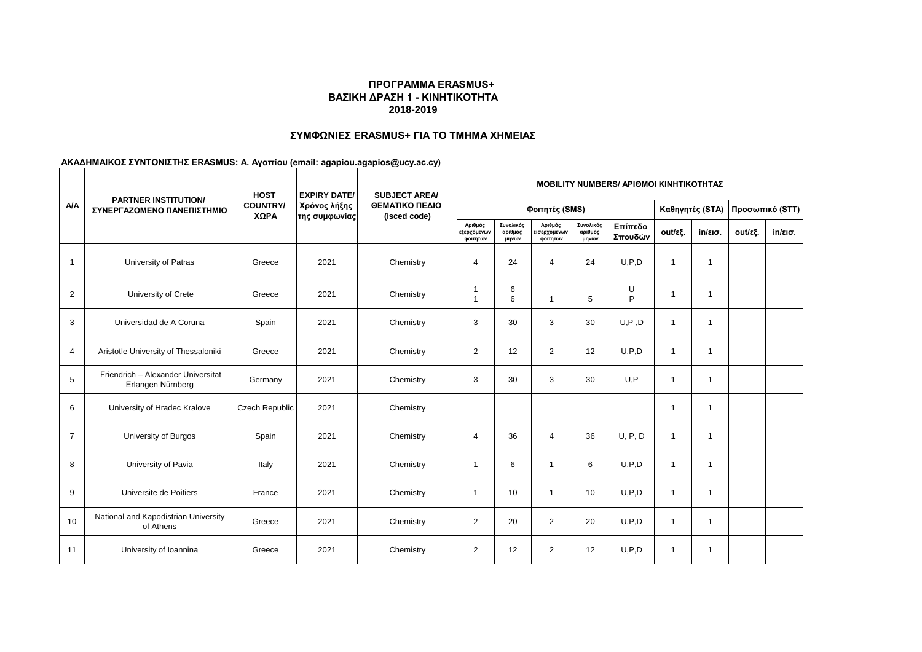# **ΠΡΟΓΡΑΜΜΑ ERASMUS+ ΒΑΣΙΚΗ ΔΡΑΣΗ 1 - ΚΙΝΗΤΙΚΟΤΗΤΑ 2018-2019**

# **ΣΥΜΦΩΝΙΕΣ ERASMUS+ ΓΙΑ ΤΟ ΤΜΗΜΑ ΧΗΜΕΙΑΣ**

# **ΑΚΑΔΗΜΑΙΚΟΣ ΣΥΝΤΟΝΙΣΤΗΣ ERASMUS: Α. Αγαπίου (email: agapiou.agapios@ucy.ac.cy)**

| <b>A/A</b>     | <b>PARTNER INSTITUTION/</b><br>ΣΥΝΕΡΓΑΖΟΜΕΝΟ ΠΑΝΕΠΙΣΤΗΜΙΟ | <b>HOST</b><br><b>COUNTRY/</b><br>ΧΩΡΑ | <b>EXPIRY DATE/</b><br>Χρόνος λήξης<br> της συμφωνίας | <b>SUBJECT AREA/</b><br>ΘΕΜΑΤΙΚΟ ΠΕΔΙΟ<br>(isced code) | <b>MOBILITY NUMBERS/ APIOMOI KINHTIKOTHTAZ</b> |                               |                                     |                               |                    |                 |                   |                 |                   |
|----------------|-----------------------------------------------------------|----------------------------------------|-------------------------------------------------------|--------------------------------------------------------|------------------------------------------------|-------------------------------|-------------------------------------|-------------------------------|--------------------|-----------------|-------------------|-----------------|-------------------|
|                |                                                           |                                        |                                                       |                                                        | Φοιτητές (SMS)                                 |                               |                                     |                               |                    | Καθηγητές (STA) |                   | Προσωπικό (STT) |                   |
|                |                                                           |                                        |                                                       |                                                        | Αριθμός<br>εξερχόμενων<br>φοιτητών             | Συνολικός<br>αριθμός<br>μηνών | Αριθμός<br>εισερχόμενων<br>φοιτητών | Συνολικός<br>αριθμός<br>μηνών | Επίπεδο<br>Σπουδών | out/εξ.         | $in/\epsilon$ ισ. | out/εξ.         | $in/\epsilon$ ισ. |
| $\mathbf{1}$   | University of Patras                                      | Greece                                 | 2021                                                  | Chemistry                                              | 4                                              | 24                            | $\overline{4}$                      | 24                            | U.P.D              | $\mathbf{1}$    | $\mathbf 1$       |                 |                   |
| 2              | University of Crete                                       | Greece                                 | 2021                                                  | Chemistry                                              | -1<br>1                                        | 6<br>6                        | $\mathbf{1}$                        | 5                             | U<br>P             | $\mathbf 1$     | 1                 |                 |                   |
| 3              | Universidad de A Coruna                                   | Spain                                  | 2021                                                  | Chemistry                                              | 3                                              | 30                            | 3                                   | 30                            | U, P, D            | $\mathbf{1}$    | 1                 |                 |                   |
| 4              | Aristotle University of Thessaloniki                      | Greece                                 | 2021                                                  | Chemistry                                              | $\overline{2}$                                 | 12                            | $\overline{2}$                      | 12                            | U.P.D              | $\overline{1}$  | $\overline{1}$    |                 |                   |
| 5              | Friendrich - Alexander Universitat<br>Erlangen Nürnberg   | Germany                                | 2021                                                  | Chemistry                                              | 3                                              | 30                            | 3                                   | 30                            | U.P                | $\mathbf{1}$    | 1                 |                 |                   |
| 6              | University of Hradec Kralove                              | Czech Republic                         | 2021                                                  | Chemistry                                              |                                                |                               |                                     |                               |                    | $\mathbf{1}$    | -1                |                 |                   |
| $\overline{7}$ | University of Burgos                                      | Spain                                  | 2021                                                  | Chemistry                                              | 4                                              | 36                            | $\overline{4}$                      | 36                            | U, P, D            | $\mathbf{1}$    | 1                 |                 |                   |
| 8              | University of Pavia                                       | Italy                                  | 2021                                                  | Chemistry                                              | $\overline{1}$                                 | 6                             | $\mathbf{1}$                        | 6                             | U, P, D            | $\mathbf{1}$    | $\mathbf{1}$      |                 |                   |
| 9              | Universite de Poitiers                                    | France                                 | 2021                                                  | Chemistry                                              | $\overline{1}$                                 | 10                            | $\mathbf{1}$                        | 10                            | U, P, D            | $\mathbf{1}$    | 1                 |                 |                   |
| 10             | National and Kapodistrian University<br>of Athens         | Greece                                 | 2021                                                  | Chemistry                                              | $\overline{2}$                                 | 20                            | $\overline{2}$                      | 20                            | U.P.D              | $\mathbf{1}$    | 1                 |                 |                   |
| 11             | University of Ioannina                                    | Greece                                 | 2021                                                  | Chemistry                                              | 2                                              | 12                            | $\overline{2}$                      | 12                            | U.P.D              | $\mathbf{1}$    | $\mathbf{1}$      |                 |                   |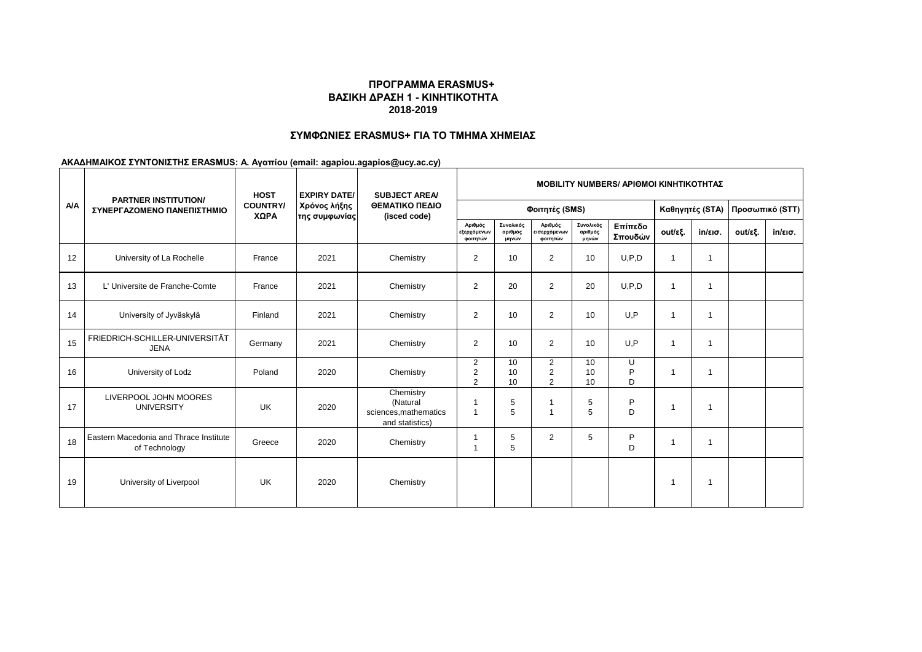# **ΠΡΟΓΡΑΜΜΑ ERASMUS+ ΒΑΣΙΚΗ ΔΡΑΣΗ 1 - ΚΙΝΗΤΙΚΟΤΗΤΑ 2018-2019**

# **ΣΥΜΦΩΝΙΕΣ ERASMUS+ ΓΙΑ ΤΟ ΤΜΗΜΑ ΧΗΜΕΙΑΣ**

# **ΑΚΑΔΗΜΑΙΚΟΣ ΣΥΝΤΟΝΙΣΤΗΣ ERASMUS: Α. Αγαπίου (email: agapiou.agapios@ucy.ac.cy)**

| <b>A/A</b> |                                                           | <b>HOST</b><br><b>COUNTRY/</b><br>ΧΩΡΑ | <b>EXPIRY DATE/</b><br>Χρόνος λήξης<br>της συμφωνίας | <b>SUBJECT AREA/</b><br>ΘΕΜΑΤΙΚΟ ΠΕΔΙΟ<br>(isced code)            | <b>MOBILITY NUMBERS/ APIOMOI KINHTIKOTHTAZ</b> |                               |                                                    |                               |                    |                 |                   |                 |                   |
|------------|-----------------------------------------------------------|----------------------------------------|------------------------------------------------------|-------------------------------------------------------------------|------------------------------------------------|-------------------------------|----------------------------------------------------|-------------------------------|--------------------|-----------------|-------------------|-----------------|-------------------|
|            | <b>PARTNER INSTITUTION/</b><br>ΣΥΝΕΡΓΑΖΟΜΕΝΟ ΠΑΝΕΠΙΣΤΗΜΙΟ |                                        |                                                      |                                                                   | Φοιτητές (SMS)                                 |                               |                                                    |                               |                    | Καθηγητές (STA) |                   | Προσωπικό (STT) |                   |
|            |                                                           |                                        |                                                      |                                                                   | Αριθμός<br>εξερχόμενων<br>φοιτητών             | Συνολικός<br>αριθμός<br>μηνών | Αριθμός<br>εισερχόμενων<br>φοιτητών                | Συνολικός<br>αριθμός<br>μηνών | Επίπεδο<br>Σπουδών | out/εξ.         | $in/\epsilon$ ισ. | out/εξ.         | $in/\epsilon$ ισ. |
| 12         | University of La Rochelle                                 | France                                 | 2021                                                 | Chemistry                                                         | 2                                              | 10                            | 2                                                  | 10                            | U.P.D              | $\overline{1}$  | 1                 |                 |                   |
| 13         | L' Universite de Franche-Comte                            | France                                 | 2021                                                 | Chemistry                                                         | 2                                              | 20                            | $\overline{2}$                                     | 20                            | U.P.D              | $\overline{1}$  | 1                 |                 |                   |
| 14         | University of Jyväskylä                                   | Finland                                | 2021                                                 | Chemistry                                                         | $\overline{c}$                                 | 10                            | $\overline{2}$                                     | 10                            | U,P                | 1               | 1                 |                 |                   |
| 15         | FRIEDRICH-SCHILLER-UNIVERSITÄT<br><b>JENA</b>             | Germany                                | 2021                                                 | Chemistry                                                         | 2                                              | 10                            | 2                                                  | 10                            | U, P               | 1               | 1                 |                 |                   |
| 16         | University of Lodz                                        | Poland                                 | 2020                                                 | Chemistry                                                         | $\overline{2}$<br>2<br>$\overline{2}$          | 10<br>10<br>10                | $\overline{2}$<br>$\overline{2}$<br>$\overline{2}$ | 10<br>10<br>10                | U<br>P<br>D        | 1               | 1                 |                 |                   |
| 17         | LIVERPOOL JOHN MOORES<br><b>UNIVERSITY</b>                | UK                                     | 2020                                                 | Chemistry<br>(Natural<br>sciences, mathematics<br>and statistics) | $\overline{\phantom{a}}$<br>$\overline{1}$     | 5<br>5                        |                                                    | 5<br>5                        | P<br>D             | $\overline{1}$  | 1                 |                 |                   |
| 18         | Eastern Macedonia and Thrace Institute<br>of Technology   | Greece                                 | 2020                                                 | Chemistry                                                         | $\overline{\phantom{a}}$                       | 5<br>5                        | $\overline{2}$                                     | 5                             | P<br>D             | 1               | 1                 |                 |                   |
| 19         | University of Liverpool                                   | UK                                     | 2020                                                 | Chemistry                                                         |                                                |                               |                                                    |                               |                    | -1              | 1                 |                 |                   |